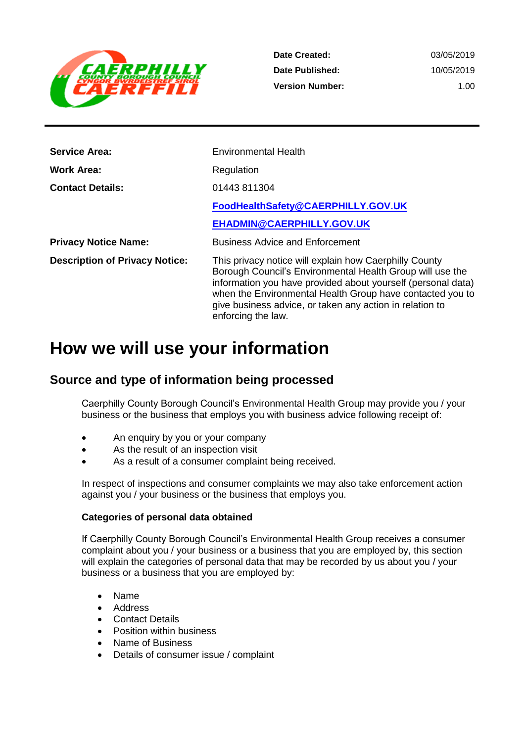

**Date Created: Date Published: Version Number:** 03/05/2019 10/05/2019 1.00

| <b>Service Area:</b>                  | <b>Environmental Health</b>                                                                                                                                                                                                                                                                                                        |
|---------------------------------------|------------------------------------------------------------------------------------------------------------------------------------------------------------------------------------------------------------------------------------------------------------------------------------------------------------------------------------|
| <b>Work Area:</b>                     | Regulation                                                                                                                                                                                                                                                                                                                         |
| <b>Contact Details:</b>               | 01443 811304                                                                                                                                                                                                                                                                                                                       |
|                                       | FoodHealthSafety@CAERPHILLY.GOV.UK                                                                                                                                                                                                                                                                                                 |
|                                       | EHADMIN@CAERPHILLY.GOV.UK                                                                                                                                                                                                                                                                                                          |
| <b>Privacy Notice Name:</b>           | <b>Business Advice and Enforcement</b>                                                                                                                                                                                                                                                                                             |
| <b>Description of Privacy Notice:</b> | This privacy notice will explain how Caerphilly County<br>Borough Council's Environmental Health Group will use the<br>information you have provided about yourself (personal data)<br>when the Environmental Health Group have contacted you to<br>give business advice, or taken any action in relation to<br>enforcing the law. |

# **How we will use your information**

### **Source and type of information being processed**

Caerphilly County Borough Council's Environmental Health Group may provide you / your business or the business that employs you with business advice following receipt of:

- An enquiry by you or your company
- As the result of an inspection visit
- As a result of a consumer complaint being received.

In respect of inspections and consumer complaints we may also take enforcement action against you / your business or the business that employs you.

#### **Categories of personal data obtained**

If Caerphilly County Borough Council's Environmental Health Group receives a consumer complaint about you / your business or a business that you are employed by, this section will explain the categories of personal data that may be recorded by us about you / your business or a business that you are employed by:

- Name
- Address
- Contact Details
- Position within business
- Name of Business
- Details of consumer issue / complaint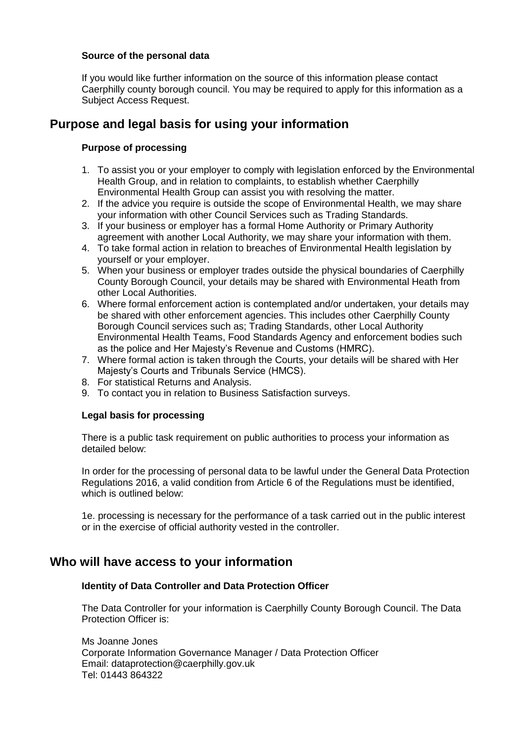#### **Source of the personal data**

If you would like further information on the source of this information please contact Caerphilly county borough council. You may be required to apply for this information as a Subject Access Request.

## **Purpose and legal basis for using your information**

#### **Purpose of processing**

- 1. To assist you or your employer to comply with legislation enforced by the Environmental Health Group, and in relation to complaints, to establish whether Caerphilly Environmental Health Group can assist you with resolving the matter.
- 2. If the advice you require is outside the scope of Environmental Health, we may share your information with other Council Services such as Trading Standards.
- 3. If your business or employer has a formal Home Authority or Primary Authority agreement with another Local Authority, we may share your information with them.
- 4. To take formal action in relation to breaches of Environmental Health legislation by yourself or your employer.
- 5. When your business or employer trades outside the physical boundaries of Caerphilly County Borough Council, your details may be shared with Environmental Heath from other Local Authorities.
- 6. Where formal enforcement action is contemplated and/or undertaken, your details may be shared with other enforcement agencies. This includes other Caerphilly County Borough Council services such as; Trading Standards, other Local Authority Environmental Health Teams, Food Standards Agency and enforcement bodies such as the police and Her Majesty's Revenue and Customs (HMRC).
- 7. Where formal action is taken through the Courts, your details will be shared with Her Majesty's Courts and Tribunals Service (HMCS).
- 8. For statistical Returns and Analysis.
- 9. To contact you in relation to Business Satisfaction surveys.

#### **Legal basis for processing**

There is a public task requirement on public authorities to process your information as detailed below:

In order for the processing of personal data to be lawful under the General Data Protection Regulations 2016, a valid condition from Article 6 of the Regulations must be identified, which is outlined below:

1e. processing is necessary for the performance of a task carried out in the public interest or in the exercise of official authority vested in the controller.

### **Who will have access to your information**

#### **Identity of Data Controller and Data Protection Officer**

The Data Controller for your information is Caerphilly County Borough Council. The Data Protection Officer is:

Ms Joanne Jones Corporate Information Governance Manager / Data Protection Officer Email: dataprotection@caerphilly.gov.uk Tel: 01443 864322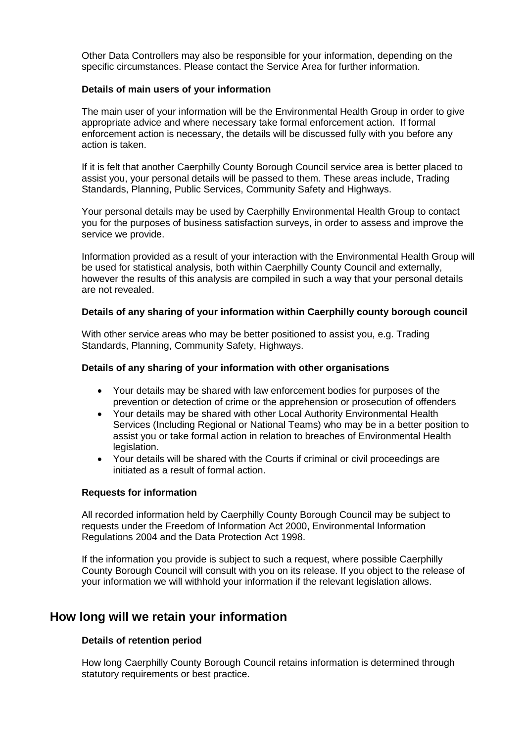Other Data Controllers may also be responsible for your information, depending on the specific circumstances. Please contact the Service Area for further information.

#### **Details of main users of your information**

The main user of your information will be the Environmental Health Group in order to give appropriate advice and where necessary take formal enforcement action. If formal enforcement action is necessary, the details will be discussed fully with you before any action is taken.

If it is felt that another Caerphilly County Borough Council service area is better placed to assist you, your personal details will be passed to them. These areas include, Trading Standards, Planning, Public Services, Community Safety and Highways.

Your personal details may be used by Caerphilly Environmental Health Group to contact you for the purposes of business satisfaction surveys, in order to assess and improve the service we provide.

Information provided as a result of your interaction with the Environmental Health Group will be used for statistical analysis, both within Caerphilly County Council and externally, however the results of this analysis are compiled in such a way that your personal details are not revealed.

#### **Details of any sharing of your information within Caerphilly county borough council**

With other service areas who may be better positioned to assist you, e.g. Trading Standards, Planning, Community Safety, Highways.

#### **Details of any sharing of your information with other organisations**

- Your details may be shared with law enforcement bodies for purposes of the prevention or detection of crime or the apprehension or prosecution of offenders
- Your details may be shared with other Local Authority Environmental Health Services (Including Regional or National Teams) who may be in a better position to assist you or take formal action in relation to breaches of Environmental Health legislation.
- Your details will be shared with the Courts if criminal or civil proceedings are initiated as a result of formal action.

#### **Requests for information**

All recorded information held by Caerphilly County Borough Council may be subject to requests under the Freedom of Information Act 2000, Environmental Information Regulations 2004 and the Data Protection Act 1998.

If the information you provide is subject to such a request, where possible Caerphilly County Borough Council will consult with you on its release. If you object to the release of your information we will withhold your information if the relevant legislation allows.

### **How long will we retain your information**

#### **Details of retention period**

How long Caerphilly County Borough Council retains information is determined through statutory requirements or best practice.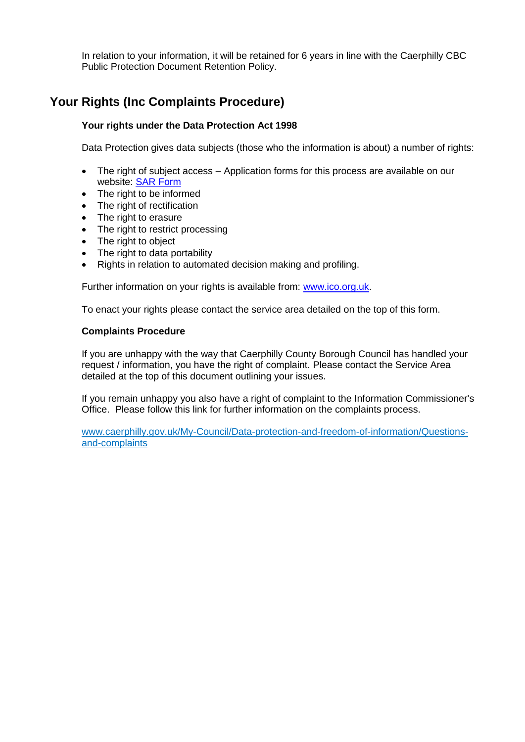In relation to your information, it will be retained for 6 years in line with the Caerphilly CBC Public Protection Document Retention Policy.

# **Your Rights (Inc Complaints Procedure)**

#### **Your rights under the Data Protection Act 1998**

Data Protection gives data subjects (those who the information is about) a number of rights:

- The right of subject access Application forms for this process are available on our website: [SAR Form](http://www.caerphilly.gov.uk/CaerphillyDocs/Council-and-democracy/sar_form.aspx)
- The right to be informed
- The right of rectification
- The right to erasure
- The right to restrict processing
- The right to object
- The right to data portability
- Rights in relation to automated decision making and profiling.

Further information on your rights is available from: [www.ico.org.uk.](http://www.ico.org.uk/)

To enact your rights please contact the service area detailed on the top of this form.

#### **Complaints Procedure**

If you are unhappy with the way that Caerphilly County Borough Council has handled your request / information, you have the right of complaint. Please contact the Service Area detailed at the top of this document outlining your issues.

If you remain unhappy you also have a right of complaint to the Information Commissioner's Office. Please follow this link for further information on the complaints process.

[www.caerphilly.gov.uk/My-Council/Data-protection-and-freedom-of-information/Questions](http://www.caerphilly.gov.uk/My-Council/Data-protection-and-freedom-of-information/Questions-and-complaints)[and-complaints](http://www.caerphilly.gov.uk/My-Council/Data-protection-and-freedom-of-information/Questions-and-complaints)